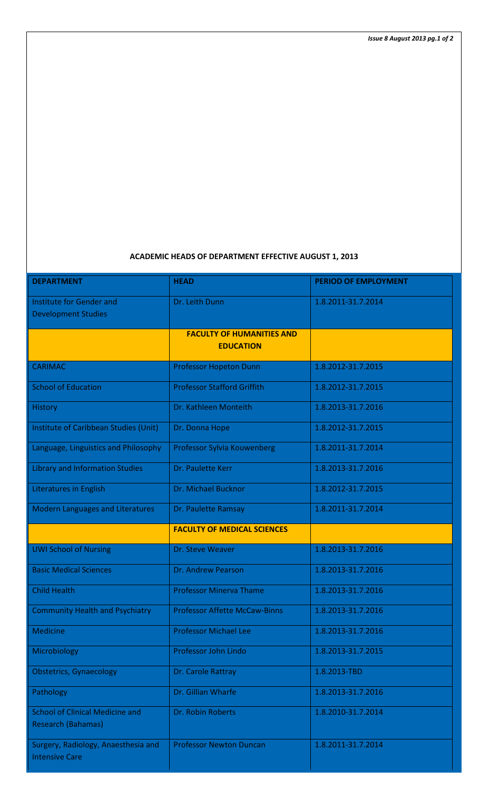## **ACADEMIC HEADS OF DEPARTMENT EFFECTIVE AUGUST 1, 2013**

| <b>DEPARTMENT</b>                                                   | <b>HEAD</b>                                          | <b>PERIOD OF EMPLOYMENT</b> |
|---------------------------------------------------------------------|------------------------------------------------------|-----------------------------|
| Institute for Gender and<br><b>Development Studies</b>              | Dr. Leith Dunn                                       | 1.8.2011-31.7.2014          |
|                                                                     | <b>FACULTY OF HUMANITIES AND</b><br><b>EDUCATION</b> |                             |
| <b>CARIMAC</b>                                                      | <b>Professor Hopeton Dunn</b>                        | 1.8.2012-31.7.2015          |
| <b>School of Education</b>                                          | <b>Professor Stafford Griffith</b>                   | 1.8.2012-31.7.2015          |
| <b>History</b>                                                      | Dr. Kathleen Monteith                                | 1.8.2013-31.7.2016          |
| <b>Institute of Caribbean Studies (Unit)</b>                        | Dr. Donna Hope                                       | 1.8.2012-31.7.2015          |
| Language, Linguistics and Philosophy                                | Professor Sylvia Kouwenberg                          | 1.8.2011-31.7.2014          |
| <b>Library and Information Studies</b>                              | Dr. Paulette Kerr                                    | 1.8.2013-31.7.2016          |
| <b>Literatures in English</b>                                       | Dr. Michael Bucknor                                  | 1.8.2012-31.7.2015          |
| <b>Modern Languages and Literatures</b>                             | Dr. Paulette Ramsay                                  | 1.8.2011-31.7.2014          |
|                                                                     | <b>FACULTY OF MEDICAL SCIENCES</b>                   |                             |
| <b>UWI School of Nursing</b>                                        | Dr. Steve Weaver                                     | 1.8.2013-31.7.2016          |
| <b>Basic Medical Sciences</b>                                       | Dr. Andrew Pearson                                   | 1.8.2013-31.7.2016          |
| <b>Child Health</b>                                                 | <b>Professor Minerva Thame</b>                       | 1.8.2013-31.7.2016          |
| <b>Community Health and Psychiatry</b>                              | <b>Professor Affette McCaw-Binns</b>                 | 1.8.2013-31.7.2016          |
| <b>Medicine</b>                                                     | <b>Professor Michael Lee</b>                         | 1.8.2013-31.7.2016          |
| Microbiology                                                        | Professor John Lindo                                 | 1.8.2013-31.7.2015          |
| <b>Obstetrics, Gynaecology</b>                                      | Dr. Carole Rattray                                   | 1.8.2013-TBD                |
| Pathology                                                           | Dr. Gillian Wharfe                                   | 1.8.2013-31.7.2016          |
| <b>School of Clinical Medicine and</b><br><b>Research (Bahamas)</b> | Dr. Robin Roberts                                    | 1.8.2010-31.7.2014          |
| Surgery, Radiology, Anaesthesia and<br><b>Intensive Care</b>        | <b>Professor Newton Duncan</b>                       | 1.8.2011-31.7.2014          |